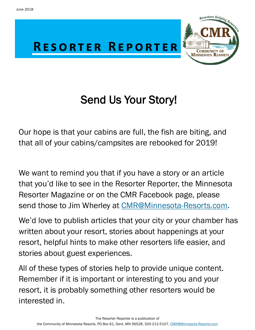

# Send Us Your Story!

Our hope is that your cabins are full, the fish are biting, and that all of your cabins/campsites are rebooked for 2019!

We want to remind you that if you have a story or an article that you'd like to see in the Resorter Reporter, the Minnesota Resorter Magazine or on the CMR Facebook page, please send those to Jim Wherley at CMR@Minnesota-Resorts.com.

We'd love to publish articles that your city or your chamber has written about your resort, stories about happenings at your resort, helpful hints to make other resorters life easier, and stories about guest experiences.

All of these types of stories help to provide unique content. Remember if it is important or interesting to you and your resort, it is probably something other resorters would be interested in.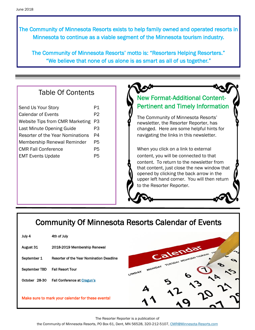The Community of Minnesota Resorts exists to help family owned and operated resorts in Minnesota to continue as a viable segment of the Minnesota tourism industry.

The Community of Minnesota Resorts' motto is: "Resorters Helping Resorters." "We believe that none of us alone is as smart as all of us together."

#### Table Of Contents

| Send Us Your Story                     | P1             |
|----------------------------------------|----------------|
| Calendar of Events                     | P <sub>2</sub> |
| <b>Website Tips from CMR Marketing</b> | P3             |
| Last Minute Opening Guide              | P3             |
| Resorter of the Year Nominations       |                |
| <b>Membership Renewal Reminder</b>     |                |
| <b>CMR Fall Conference</b>             |                |
| <b>EMT Events Update</b>               |                |
|                                        |                |

#### New Format-Additional Content-Pertinent and Timely Information

The Community of Minnesota Resorts' newsletter, the Resorter Reporter, has changed. Here are some helpful hints for navigating the links in this newsletter.

When you click on a link to external content, you will be connected to that content. To return to the newsletter from that content, just close the new window that opened by clicking the back arrow in the upper left hand corner. You will then return to the Resorter Reporter.

## Community Of Minnesota Resorts Calendar of Events

| July 4        | 4th of July                                       |  |
|---------------|---------------------------------------------------|--|
| August 31     | 2018-2019 Membership Renewal                      |  |
| September 1   | Resorter of the Year Nomination Deadline          |  |
| September TBD | <b>Fall Resort Tour</b>                           |  |
| October 28-30 | <b>Fall Conference at Cragun's</b>                |  |
|               | Make sure to mark your calendar for these events! |  |
|               |                                                   |  |



The Resorter Reporter is a publication of

the Community of Minnesota Resorts, PO Box 61, Dent, MN 56528, 320-212-5107, [CMR@Minnesota-Resorts.com](mailto:CMR@Minnesota-Resorts.com?subject=Community%20of%20Minnesota%20Resorts)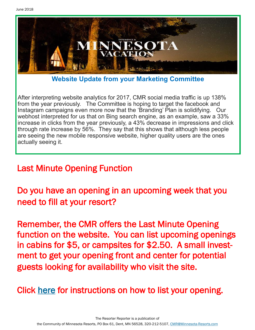

**Website Update from your Marketing Committee**

After interpreting website analytics for 2017, CMR social media traffic is up 138% from the year previously. The Committee is hoping to target the facebook and Instagram campaigns even more now that the 'Branding' Plan is solidifying. Our webhost interpreted for us that on Bing search engine, as an example, saw a 33% increase in clicks from the year previously, a 43% decrease in impressions and click through rate increase by 56%. They say that this shows that although less people are seeing the new mobile responsive website, higher quality users are the ones actually seeing it.

## Last Minute Opening Function

Do you have an opening in an upcoming week that you need to fill at your resort?

Remember, the CMR offers the Last Minute Opening function on the website. You can list upcoming openings in cabins for \$5, or campsites for \$2.50. A small investment to get your opening front and center for potential guests looking for availability who visit the site.

## Click [here](http://minnesota-resorts.com/wp-lib/wp-content/uploads/2017/06/Last-Minute-Opening-Guide.pdf) for instructions on how to list your opening.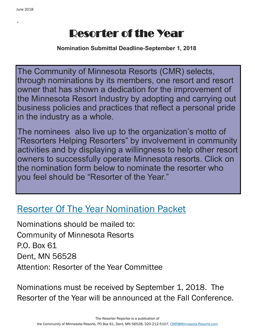.

# Resorter of the Year

**Nomination Submittal Deadline-September 1, 2018**

The Community of Minnesota Resorts (CMR) selects, through nominations by its members, one resort and resort owner that has shown a dedication for the improvement of the Minnesota Resort Industry by adopting and carrying out business policies and practices that reflect a personal pride in the industry as a whole.

The nominees also live up to the organization's motto of "Resorters Helping Resorters" by involvement in community activities and by displaying a willingness to help other resort owners to successfully operate Minnesota resorts. Click on the nomination form below to nominate the resorter who you feel should be "Resorter of the Year."

## [Resorter Of The Year Nomination Packet](http://minnesota-resorts.com/wp-lib/wp-content/uploads/2016/11/2016.04.07_ROY-nominating-packet-Community.pdf)

Nominations should be mailed to: Community of Minnesota Resorts P.O. Box 61 Dent, MN 56528 Attention: Resorter of the Year Committee

Nominations must be received by September 1, 2018. The Resorter of the Year will be announced at the Fall Conference.